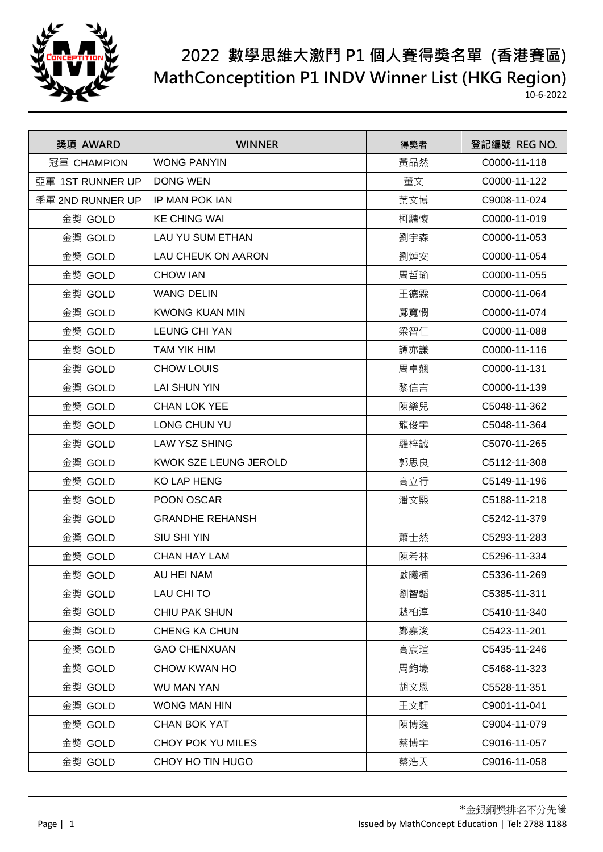

| 獎項 AWARD         | <b>WINNER</b>             | 得獎者 | 登記編號 REG NO. |
|------------------|---------------------------|-----|--------------|
| 冠軍 CHAMPION      | <b>WONG PANYIN</b>        | 黃品然 | C0000-11-118 |
| 亞軍 1ST RUNNER UP | <b>DONG WEN</b>           | 董文  | C0000-11-122 |
| 季軍 2ND RUNNER UP | IP MAN POK IAN            | 葉文博 | C9008-11-024 |
| 金獎 GOLD          | <b>KE CHING WAI</b>       | 柯騁懷 | C0000-11-019 |
| 金獎 GOLD          | <b>LAU YU SUM ETHAN</b>   | 劉宇森 | C0000-11-053 |
| 金獎 GOLD          | <b>LAU CHEUK ON AARON</b> | 劉焯安 | C0000-11-054 |
| 金獎 GOLD          | <b>CHOW IAN</b>           | 周哲瑜 | C0000-11-055 |
| 金獎 GOLD          | <b>WANG DELIN</b>         | 王德霖 | C0000-11-064 |
| 金獎 GOLD          | <b>KWONG KUAN MIN</b>     | 鄺寬憫 | C0000-11-074 |
| 金獎 GOLD          | <b>LEUNG CHI YAN</b>      | 梁智仁 | C0000-11-088 |
| 金獎 GOLD          | TAM YIK HIM               | 譚亦謙 | C0000-11-116 |
| 金獎 GOLD          | <b>CHOW LOUIS</b>         | 周卓翹 | C0000-11-131 |
| 金獎 GOLD          | <b>LAI SHUN YIN</b>       | 黎信言 | C0000-11-139 |
| 金獎 GOLD          | <b>CHAN LOK YEE</b>       | 陳樂兒 | C5048-11-362 |
| 金獎 GOLD          | LONG CHUN YU              | 龍俊宇 | C5048-11-364 |
| 金獎 GOLD          | <b>LAW YSZ SHING</b>      | 羅梓誠 | C5070-11-265 |
| 金獎 GOLD          | KWOK SZE LEUNG JEROLD     | 郭思良 | C5112-11-308 |
| 金獎 GOLD          | <b>KO LAP HENG</b>        | 高立行 | C5149-11-196 |
| 金獎 GOLD          | POON OSCAR                | 潘文熙 | C5188-11-218 |
| 金獎 GOLD          | <b>GRANDHE REHANSH</b>    |     | C5242-11-379 |
| 金獎 GOLD          | <b>SIU SHI YIN</b>        | 蕭士然 | C5293-11-283 |
| 金獎 GOLD          | <b>CHAN HAY LAM</b>       | 陳希林 | C5296-11-334 |
| 金獎 GOLD          | AU HEI NAM                | 歐曦楠 | C5336-11-269 |
| 金獎 GOLD          | LAU CHI TO                | 劉智韜 | C5385-11-311 |
| 金獎 GOLD          | CHIU PAK SHUN             | 趙柏淳 | C5410-11-340 |
| 金獎 GOLD          | <b>CHENG KA CHUN</b>      | 鄭嘉浚 | C5423-11-201 |
| 金獎 GOLD          | <b>GAO CHENXUAN</b>       | 高宸瑄 | C5435-11-246 |
| 金獎 GOLD          | CHOW KWAN HO              | 周鈞壕 | C5468-11-323 |
| 金獎 GOLD          | WU MAN YAN                | 胡文恩 | C5528-11-351 |
| 金獎 GOLD          | WONG MAN HIN              | 王文軒 | C9001-11-041 |
| 金獎 GOLD          | <b>CHAN BOK YAT</b>       | 陳博逸 | C9004-11-079 |
| 金獎 GOLD          | CHOY POK YU MILES         | 蔡博宇 | C9016-11-057 |
| 金獎 GOLD          | CHOY HO TIN HUGO          | 蔡浩天 | C9016-11-058 |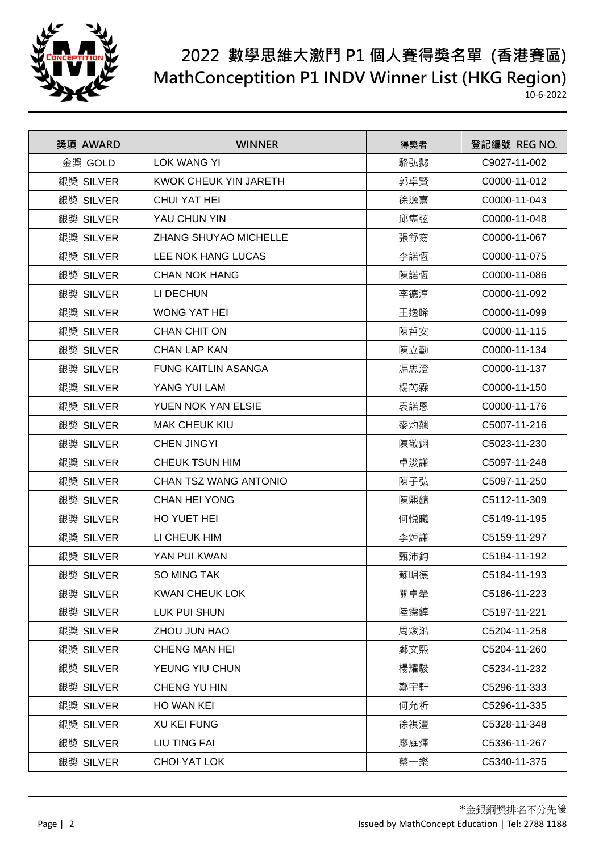

| 獎項 AWARD  | <b>WINNER</b>                | 得獎者 | 登記編號 REG NO. |
|-----------|------------------------------|-----|--------------|
| 金獎 GOLD   | <b>LOK WANG YI</b>           | 駱弘懿 | C9027-11-002 |
| 銀獎 SILVER | <b>KWOK CHEUK YIN JARETH</b> | 郭卓賢 | C0000-11-012 |
| 銀獎 SILVER | CHUI YAT HEI                 | 徐逸熹 | C0000-11-043 |
| 銀獎 SILVER | YAU CHUN YIN                 | 邱雋弦 | C0000-11-048 |
| 銀獎 SILVER | <b>ZHANG SHUYAO MICHELLE</b> | 張舒窈 | C0000-11-067 |
| 銀獎 SILVER | LEE NOK HANG LUCAS           | 李諾恆 | C0000-11-075 |
| 銀獎 SILVER | <b>CHAN NOK HANG</b>         | 陳諾恆 | C0000-11-086 |
| 銀獎 SILVER | LI DECHUN                    | 李德淳 | C0000-11-092 |
| 銀獎 SILVER | <b>WONG YAT HEI</b>          | 王逸晞 | C0000-11-099 |
| 銀獎 SILVER | <b>CHAN CHIT ON</b>          | 陳哲安 | C0000-11-115 |
| 銀獎 SILVER | <b>CHAN LAP KAN</b>          | 陳立勤 | C0000-11-134 |
| 銀獎 SILVER | <b>FUNG KAITLIN ASANGA</b>   | 馮思澄 | C0000-11-137 |
| 銀獎 SILVER | YANG YUI LAM                 | 楊芮霖 | C0000-11-150 |
| 銀獎 SILVER | YUEN NOK YAN ELSIE           | 袁諾恩 | C0000-11-176 |
| 銀獎 SILVER | <b>MAK CHEUK KIU</b>         | 麥灼翹 | C5007-11-216 |
| 銀獎 SILVER | <b>CHEN JINGYI</b>           | 陳敬翊 | C5023-11-230 |
| 銀獎 SILVER | <b>CHEUK TSUN HIM</b>        | 卓浚謙 | C5097-11-248 |
| 銀獎 SILVER | CHAN TSZ WANG ANTONIO        | 陳子弘 | C5097-11-250 |
| 銀獎 SILVER | <b>CHAN HEI YONG</b>         | 陳熙鏞 | C5112-11-309 |
| 銀獎 SILVER | HO YUET HEI                  | 何悦曦 | C5149-11-195 |
| 銀獎 SILVER | LI CHEUK HIM                 | 李焯謙 | C5159-11-297 |
| 銀獎 SILVER | YAN PUI KWAN                 | 甄沛鈞 | C5184-11-192 |
| 銀獎 SILVER | <b>SO MING TAK</b>           | 蘇明德 | C5184-11-193 |
| 銀獎 SILVER | <b>KWAN CHEUK LOK</b>        | 關卓犖 | C5186-11-223 |
| 銀獎 SILVER | LUK PUI SHUN                 | 陸霈錞 | C5197-11-221 |
| 銀獎 SILVER | ZHOU JUN HAO                 | 周焌澔 | C5204-11-258 |
| 銀獎 SILVER | CHENG MAN HEI                | 鄭文熙 | C5204-11-260 |
| 銀獎 SILVER | YEUNG YIU CHUN               | 楊耀駿 | C5234-11-232 |
| 銀獎 SILVER | CHENG YU HIN                 | 鄭宇軒 | C5296-11-333 |
| 銀獎 SILVER | HO WAN KEI                   | 何允祈 | C5296-11-335 |
| 銀獎 SILVER | <b>XU KEI FUNG</b>           | 徐祺灃 | C5328-11-348 |
| 銀獎 SILVER | <b>LIU TING FAI</b>          | 廖庭煇 | C5336-11-267 |
| 銀獎 SILVER | CHOI YAT LOK                 | 蔡一樂 | C5340-11-375 |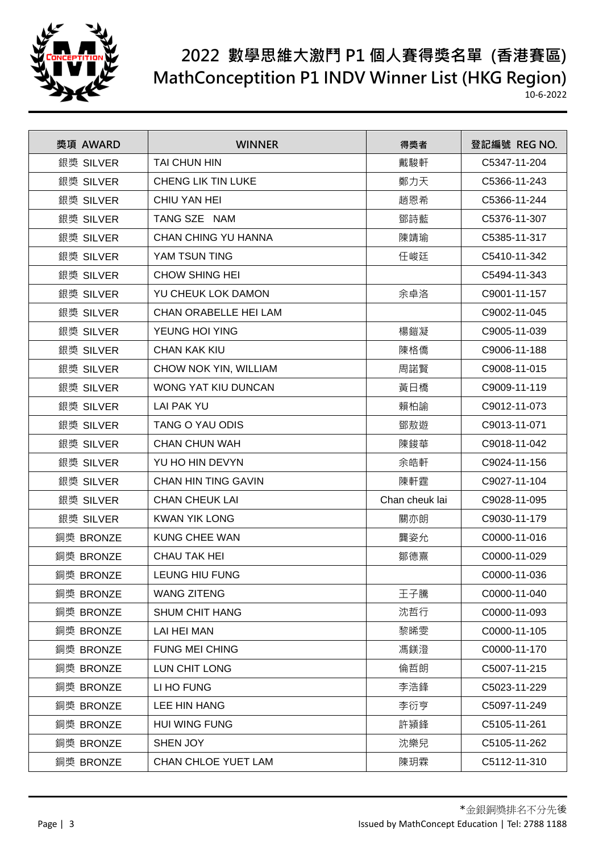

| 獎項 AWARD  | <b>WINNER</b>              | 得獎者            | 登記編號 REG NO. |
|-----------|----------------------------|----------------|--------------|
| 銀獎 SILVER | TAI CHUN HIN               | 戴駿軒            | C5347-11-204 |
| 銀獎 SILVER | <b>CHENG LIK TIN LUKE</b>  | 鄭力天            | C5366-11-243 |
| 銀獎 SILVER | CHIU YAN HEI               | 趙恩希            | C5366-11-244 |
| 銀獎 SILVER | TANG SZE NAM               | 鄧詩藍            | C5376-11-307 |
| 銀獎 SILVER | CHAN CHING YU HANNA        | 陳靖瑜            | C5385-11-317 |
| 銀獎 SILVER | YAM TSUN TING              | 任峻廷            | C5410-11-342 |
| 銀獎 SILVER | <b>CHOW SHING HEI</b>      |                | C5494-11-343 |
| 銀獎 SILVER | YU CHEUK LOK DAMON         | 余卓洛            | C9001-11-157 |
| 銀獎 SILVER | CHAN ORABELLE HEI LAM      |                | C9002-11-045 |
| 銀獎 SILVER | YEUNG HOI YING             | 楊鎧凝            | C9005-11-039 |
| 銀獎 SILVER | <b>CHAN KAK KIU</b>        | 陳格僑            | C9006-11-188 |
| 銀獎 SILVER | CHOW NOK YIN, WILLIAM      | 周諾賢            | C9008-11-015 |
| 銀獎 SILVER | WONG YAT KIU DUNCAN        | 黃日橋            | C9009-11-119 |
| 銀獎 SILVER | <b>LAI PAK YU</b>          | 賴柏諭            | C9012-11-073 |
| 銀獎 SILVER | TANG O YAU ODIS            | 鄧敖遊            | C9013-11-071 |
| 銀獎 SILVER | <b>CHAN CHUN WAH</b>       | 陳鋑華            | C9018-11-042 |
| 銀獎 SILVER | YU HO HIN DEVYN            | 余皓軒            | C9024-11-156 |
| 銀獎 SILVER | <b>CHAN HIN TING GAVIN</b> | 陳軒霆            | C9027-11-104 |
| 銀獎 SILVER | <b>CHAN CHEUK LAI</b>      | Chan cheuk lai | C9028-11-095 |
| 銀獎 SILVER | <b>KWAN YIK LONG</b>       | 關亦朗            | C9030-11-179 |
| 銅獎 BRONZE | <b>KUNG CHEE WAN</b>       | 龔姿允            | C0000-11-016 |
| 銅獎 BRONZE | <b>CHAU TAK HEI</b>        | 鄒德熹            | C0000-11-029 |
| 銅獎 BRONZE | <b>LEUNG HIU FUNG</b>      |                | C0000-11-036 |
| 銅獎 BRONZE | <b>WANG ZITENG</b>         | 王子騰            | C0000-11-040 |
| 銅獎 BRONZE | <b>SHUM CHIT HANG</b>      | 沈哲行            | C0000-11-093 |
| 銅獎 BRONZE | LAI HEI MAN                | 黎晞雯            | C0000-11-105 |
| 銅獎 BRONZE | <b>FUNG MEI CHING</b>      | 馮鎂澄            | C0000-11-170 |
| 銅獎 BRONZE | LUN CHIT LONG              | 倫哲朗            | C5007-11-215 |
| 銅獎 BRONZE | LI HO FUNG                 | 李浩鋒            | C5023-11-229 |
| 銅獎 BRONZE | LEE HIN HANG               | 李衍亨            | C5097-11-249 |
| 銅獎 BRONZE | <b>HUI WING FUNG</b>       | 許潁鋒            | C5105-11-261 |
| 銅獎 BRONZE | SHEN JOY                   | 沈樂兒            | C5105-11-262 |
| 銅獎 BRONZE | CHAN CHLOE YUET LAM        | 陳玥霖            | C5112-11-310 |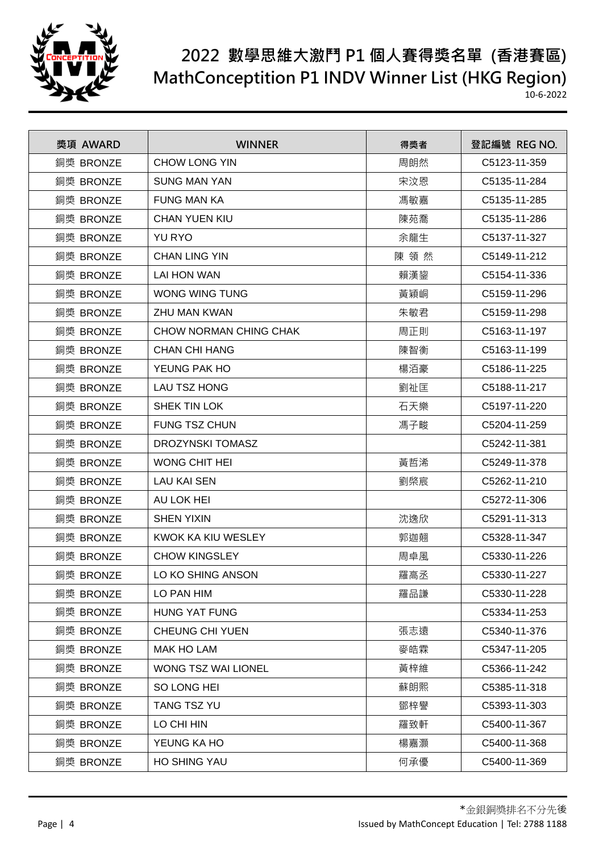

| 獎項 AWARD  | <b>WINNER</b>              | 得獎者 | 登記編號 REG NO. |
|-----------|----------------------------|-----|--------------|
| 銅獎 BRONZE | <b>CHOW LONG YIN</b>       | 周朗然 | C5123-11-359 |
| 銅獎 BRONZE | <b>SUNG MAN YAN</b>        | 宋汶恩 | C5135-11-284 |
| 銅獎 BRONZE | <b>FUNG MAN KA</b>         | 馮敏嘉 | C5135-11-285 |
| 銅獎 BRONZE | <b>CHAN YUEN KIU</b>       | 陳苑喬 | C5135-11-286 |
| 銅獎 BRONZE | <b>YU RYO</b>              | 余龍生 | C5137-11-327 |
| 銅獎 BRONZE | <b>CHAN LING YIN</b>       | 陳領然 | C5149-11-212 |
| 銅獎 BRONZE | <b>LAI HON WAN</b>         | 賴漢鋆 | C5154-11-336 |
| 銅獎 BRONZE | WONG WING TUNG             | 黃穎峒 | C5159-11-296 |
| 銅獎 BRONZE | ZHU MAN KWAN               | 朱敏君 | C5159-11-298 |
| 銅獎 BRONZE | CHOW NORMAN CHING CHAK     | 周正則 | C5163-11-197 |
| 銅獎 BRONZE | <b>CHAN CHI HANG</b>       | 陳智衡 | C5163-11-199 |
| 銅獎 BRONZE | YEUNG PAK HO               | 楊洦豪 | C5186-11-225 |
| 銅獎 BRONZE | <b>LAU TSZ HONG</b>        | 劉祉匡 | C5188-11-217 |
| 銅獎 BRONZE | SHEK TIN LOK               | 石天樂 | C5197-11-220 |
| 銅獎 BRONZE | <b>FUNG TSZ CHUN</b>       | 馮子畯 | C5204-11-259 |
| 銅獎 BRONZE | <b>DROZYNSKI TOMASZ</b>    |     | C5242-11-381 |
| 銅獎 BRONZE | WONG CHIT HEI              | 黃哲浠 | C5249-11-378 |
| 銅獎 BRONZE | <b>LAU KAI SEN</b>         | 劉棨宸 | C5262-11-210 |
| 銅獎 BRONZE | AU LOK HEI                 |     | C5272-11-306 |
| 銅獎 BRONZE | <b>SHEN YIXIN</b>          | 沈逸欣 | C5291-11-313 |
| 銅獎 BRONZE | KWOK KA KIU WESLEY         | 郭迦翹 | C5328-11-347 |
| 銅獎 BRONZE | <b>CHOW KINGSLEY</b>       | 周卓風 | C5330-11-226 |
| 銅獎 BRONZE | LO KO SHING ANSON          | 羅高丞 | C5330-11-227 |
| 銅獎 BRONZE | LO PAN HIM                 | 羅品謙 | C5330-11-228 |
| 銅獎 BRONZE | <b>HUNG YAT FUNG</b>       |     | C5334-11-253 |
| 銅獎 BRONZE | <b>CHEUNG CHI YUEN</b>     | 張志遠 | C5340-11-376 |
| 銅獎 BRONZE | MAK HO LAM                 | 麥皓霖 | C5347-11-205 |
| 銅獎 BRONZE | <b>WONG TSZ WAI LIONEL</b> | 黃梓維 | C5366-11-242 |
| 銅獎 BRONZE | SO LONG HEI                | 蘇朗熙 | C5385-11-318 |
| 銅獎 BRONZE | <b>TANG TSZ YU</b>         | 鄧梓譽 | C5393-11-303 |
| 銅獎 BRONZE | LO CHI HIN                 | 羅致軒 | C5400-11-367 |
| 銅獎 BRONZE | YEUNG KA HO                | 楊嘉灝 | C5400-11-368 |
| 銅獎 BRONZE | <b>HO SHING YAU</b>        | 何承優 | C5400-11-369 |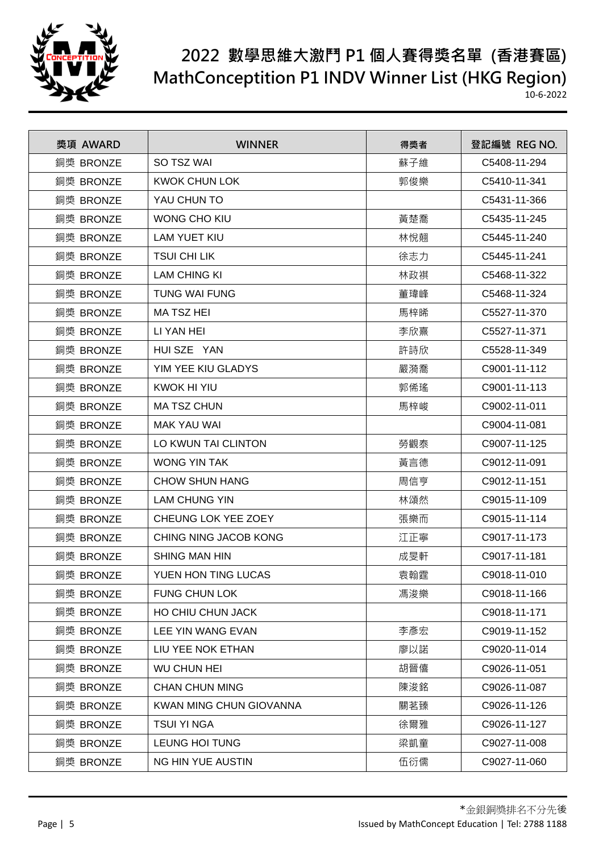

| 獎項 AWARD  | <b>WINNER</b>           | 得獎者 | 登記編號 REG NO. |
|-----------|-------------------------|-----|--------------|
| 銅獎 BRONZE | SO TSZ WAI              | 蘇子維 | C5408-11-294 |
| 銅獎 BRONZE | <b>KWOK CHUN LOK</b>    | 郭俊樂 | C5410-11-341 |
| 銅獎 BRONZE | YAU CHUN TO             |     | C5431-11-366 |
| 銅獎 BRONZE | <b>WONG CHO KIU</b>     | 黃楚喬 | C5435-11-245 |
| 銅獎 BRONZE | <b>LAM YUET KIU</b>     | 林悅翹 | C5445-11-240 |
| 銅獎 BRONZE | <b>TSUI CHI LIK</b>     | 徐志力 | C5445-11-241 |
| 銅獎 BRONZE | <b>LAM CHING KI</b>     | 林政祺 | C5468-11-322 |
| 銅獎 BRONZE | <b>TUNG WAI FUNG</b>    | 董瑋峰 | C5468-11-324 |
| 銅獎 BRONZE | <b>MATSZHEI</b>         | 馬梓晞 | C5527-11-370 |
| 銅獎 BRONZE | LI YAN HEI              | 李欣熹 | C5527-11-371 |
| 銅獎 BRONZE | HUI SZE YAN             | 許詩欣 | C5528-11-349 |
| 銅獎 BRONZE | YIM YEE KIU GLADYS      | 嚴漪喬 | C9001-11-112 |
| 銅獎 BRONZE | <b>KWOK HI YIU</b>      | 郭俙瑤 | C9001-11-113 |
| 銅獎 BRONZE | <b>MA TSZ CHUN</b>      | 馬梓峻 | C9002-11-011 |
| 銅獎 BRONZE | <b>MAK YAU WAI</b>      |     | C9004-11-081 |
| 銅獎 BRONZE | LO KWUN TAI CLINTON     | 勞觀泰 | C9007-11-125 |
| 銅獎 BRONZE | <b>WONG YIN TAK</b>     | 黃言德 | C9012-11-091 |
| 銅獎 BRONZE | <b>CHOW SHUN HANG</b>   | 周信亨 | C9012-11-151 |
| 銅獎 BRONZE | <b>LAM CHUNG YIN</b>    | 林頌然 | C9015-11-109 |
| 銅獎 BRONZE | CHEUNG LOK YEE ZOEY     | 張樂而 | C9015-11-114 |
| 銅獎 BRONZE | CHING NING JACOB KONG   | 江正寧 | C9017-11-173 |
| 銅獎 BRONZE | <b>SHING MAN HIN</b>    | 成旻軒 | C9017-11-181 |
| 銅獎 BRONZE | YUEN HON TING LUCAS     | 袁翰霆 | C9018-11-010 |
| 銅獎 BRONZE | <b>FUNG CHUN LOK</b>    | 馮浚樂 | C9018-11-166 |
| 銅獎 BRONZE | HO CHIU CHUN JACK       |     | C9018-11-171 |
| 銅獎 BRONZE | LEE YIN WANG EVAN       | 李彥宏 | C9019-11-152 |
| 銅獎 BRONZE | LIU YEE NOK ETHAN       | 廖以諾 | C9020-11-014 |
| 銅獎 BRONZE | <b>WU CHUN HEI</b>      | 胡晉僖 | C9026-11-051 |
| 銅獎 BRONZE | <b>CHAN CHUN MING</b>   | 陳浚銘 | C9026-11-087 |
| 銅獎 BRONZE | KWAN MING CHUN GIOVANNA | 關茗臻 | C9026-11-126 |
| 銅獎 BRONZE | <b>TSUI YI NGA</b>      | 徐爾雅 | C9026-11-127 |
| 銅獎 BRONZE | <b>LEUNG HOI TUNG</b>   | 梁凱童 | C9027-11-008 |
| 銅獎 BRONZE | NG HIN YUE AUSTIN       | 伍衍儒 | C9027-11-060 |